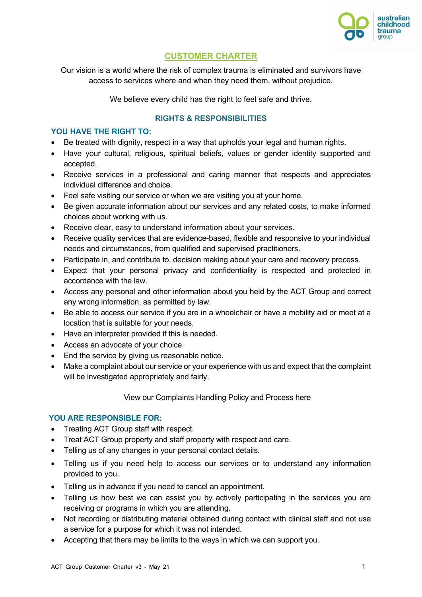

# **CUSTOMER CHARTER**

Our vision is a world where the risk of complex trauma is eliminated and survivors have access to services where and when they need them, without prejudice.

We believe every child has the right to feel safe and thrive.

## **RIGHTS & RESPONSIBILITIES**

### **YOU HAVE THE RIGHT TO:**

- Be treated with dignity, respect in a way that upholds your legal and human rights.
- Have your cultural, religious, spiritual beliefs, values or gender identity supported and accepted.
- Receive services in a professional and caring manner that respects and appreciates individual difference and choice.
- Feel safe visiting our service or when we are visiting you at your home.
- Be given accurate information about our services and any related costs, to make informed choices about working with us.
- Receive clear, easy to understand information about your services.
- Receive quality services that are evidence-based, flexible and responsive to your individual needs and circumstances, from qualified and supervised practitioners.
- Participate in, and contribute to, decision making about your care and recovery process.
- Expect that your personal privacy and confidentiality is respected and protected in accordance with the law.
- Access any personal and other information about you held by the ACT Group and correct any wrong information, as permitted by law.
- Be able to access our service if you are in a wheelchair or have a mobility aid or meet at a location that is suitable for your needs.
- Have an interpreter provided if this is needed.
- Access an advocate of your choice.
- End the service by giving us reasonable notice.
- Make a complaint about our service or your experience with us and expect that the complaint will be investigated appropriately and fairly.

View our Complaints Handling Policy and Process here

### **YOU ARE RESPONSIBLE FOR:**

- Treating ACT Group staff with respect.
- Treat ACT Group property and staff property with respect and care.
- Telling us of any changes in your personal contact details.
- Telling us if you need help to access our services or to understand any information provided to you.
- Telling us in advance if you need to cancel an appointment.
- Telling us how best we can assist you by actively participating in the services you are receiving or programs in which you are attending.
- Not recording or distributing material obtained during contact with clinical staff and not use a service for a purpose for which it was not intended.
- Accepting that there may be limits to the ways in which we can support you.